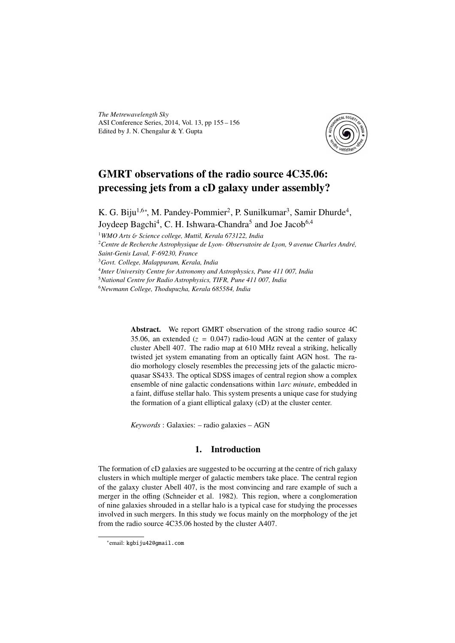*The Metrewavelength Sky* ASI Conference Series, 2014, Vol. 13, pp 155 – 156 Edited by J. N. Chengalur & Y. Gupta



# GMRT observations of the radio source 4C35.06: precessing jets from a cD galaxy under assembly?

K. G. Biju<sup>1,6∗</sup>, M. Pandey-Pommier<sup>2</sup>, P. Sunilkumar<sup>3</sup>, Samir Dhurde<sup>4</sup>, Joydeep Bagchi<sup>4</sup>, C. H. Ishwara-Chandra<sup>5</sup> and Joe Jacob<sup>6,4</sup>

<sup>1</sup>*WMO Arts* & *Science college, Muttil, Kerala 673122, India*

<sup>2</sup>*Centre de Recherche Astrophysique de Lyon- Observatoire de Lyon, 9 avenue Charles André,*

*Saint-Genis Laval, F-69230, France*

<sup>3</sup>*Govt. College, Malappuram, Kerala, India*

4 *Inter University Centre for Astronomy and Astrophysics, Pune 411 007, India*

<sup>5</sup>*National Centre for Radio Astrophysics, TIFR, Pune 411 007, India*

<sup>6</sup>*Newmann College, Thodupuzha, Kerala 685584, India*

Abstract. We report GMRT observation of the strong radio source 4C 35.06, an extended  $(z = 0.047)$  radio-loud AGN at the center of galaxy cluster Abell 407. The radio map at 610 MHz reveal a striking, helically twisted jet system emanating from an optically faint AGN host. The radio morhology closely resembles the precessing jets of the galactic microquasar SS433. The optical SDSS images of central region show a complex ensemble of nine galactic condensations within 1*arc minute*, embedded in a faint, diffuse stellar halo. This system presents a unique case for studying the formation of a giant elliptical galaxy (cD) at the cluster center.

*Keywords* : Galaxies: – radio galaxies – AGN

## 1. Introduction

The formation of cD galaxies are suggested to be occurring at the centre of rich galaxy clusters in which multiple merger of galactic members take place. The central region of the galaxy cluster Abell 407, is the most convincing and rare example of such a merger in the offing (Schneider et al. 1982). This region, where a conglomeration of nine galaxies shrouded in a stellar halo is a typical case for studying the processes involved in such mergers. In this study we focus mainly on the morphology of the jet from the radio source 4C35.06 hosted by the cluster A407.

<sup>∗</sup> email: kgbiju42@gmail.com